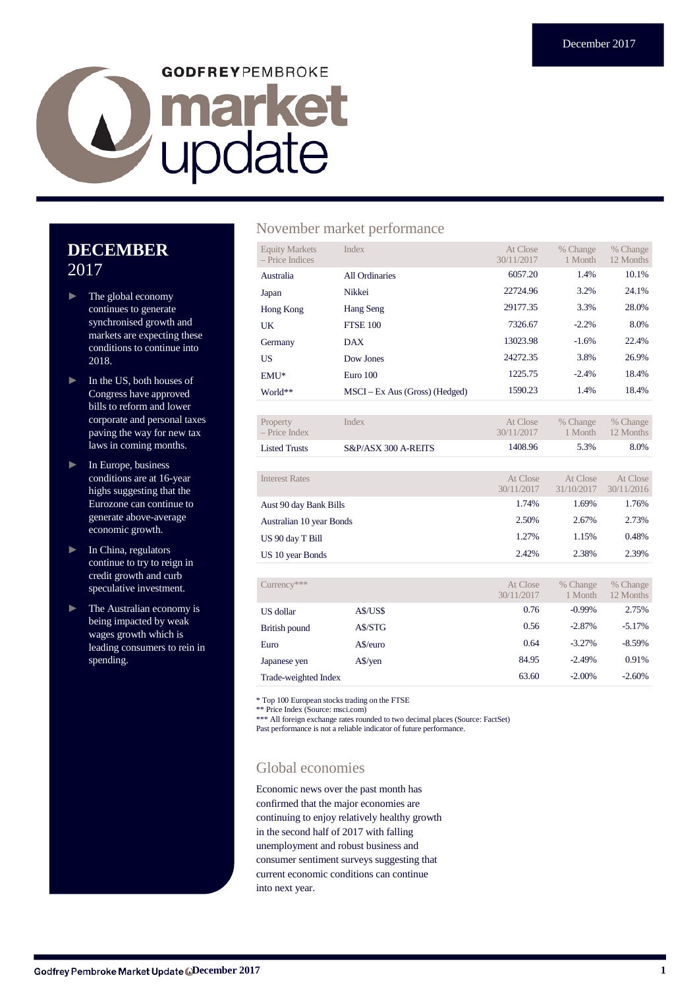# **GODFREYPEMBROKE D** market

## **DECEMBER** 2017

- ► The global economy continues to generate synchronised growth and markets are expecting these conditions to continue into 2018.
- ► In the US, both houses of Congress have approved bills to reform and lower corporate and personal taxes paving the way for new tax laws in coming months.
- ► In Europe, business conditions are at 16-year highs suggesting that the Eurozone can continue to generate above-average economic growth.
- ► In China, regulators continue to try to reign in credit growth and curb speculative investment.
- ► The Australian economy is being impacted by weak wages growth which is leading consumers to rein in spending.

## November market performance

| <b>Equity Markets</b><br>- Price Indices | Index                          | At Close<br>30/11/2017 | % Change<br>1 Month   | % Change<br>12 Months   |
|------------------------------------------|--------------------------------|------------------------|-----------------------|-------------------------|
| Australia                                | <b>All Ordinaries</b>          | 6057.20                | 1.4%                  | 10.1%                   |
| Japan                                    | Nikkei                         | 22724.96               | 3.2%                  | 24.1%                   |
| Hong Kong                                | Hang Seng                      | 29177.35               | 3.3%                  | 28.0%                   |
| UK                                       | <b>FTSE 100</b>                | 7326.67                | $-2.2%$               | 8.0%                    |
| Germany                                  | <b>DAX</b>                     | 13023.98               | $-1.6%$               | 22.4%                   |
| US                                       | Dow Jones                      | 24272.35               | 3.8%                  | 26.9%                   |
| $EMU^*$                                  | Euro 100                       | 1225.75                | $-2.4%$               | 18.4%                   |
| World**                                  | MSCI – Ex Aus (Gross) (Hedged) | 1590.23                | 1.4%                  | 18.4%                   |
|                                          |                                |                        |                       |                         |
| Property<br>Dríca Indav                  | Index                          | At Close<br>30/11/2017 | % Change<br>$1$ Month | % Change<br>$12$ Monthe |

| $-$ Price Index |                     | 30/11/2017 | 1 Month | 12 Months |
|-----------------|---------------------|------------|---------|-----------|
| Listed Trusts   | S&P/ASX 300 A-REITS | 1408.96    | 5.3%    | 8.0%      |
|                 |                     |            |         |           |

| Interest Rates           | At Close<br>30/11/2017 | At Close<br>31/10/2017 | At Close<br>30/11/2016 |
|--------------------------|------------------------|------------------------|------------------------|
| Aust 90 day Bank Bills   | 1.74%                  | 1.69%                  | 1.76%                  |
| Australian 10 year Bonds | 2.50%                  | 2.67%                  | 2.73%                  |
| US 90 day T Bill         | 1.27%                  | 1.15%                  | 0.48%                  |
| US 10 year Bonds         | 2.42%                  | 2.38%                  | 2.39%                  |

| $Currency***$        |              | At Close<br>30/11/2017 | % Change<br>1 Month | % Change<br>12 Months |
|----------------------|--------------|------------------------|---------------------|-----------------------|
| US dollar            | A\$/US\$     | 0.76                   | $-0.99%$            | 2.75%                 |
| British pound        | A\$/STG      | 0.56                   | $-2.87%$            | $-5.17%$              |
| Euro                 | A\$/euro     | 0.64                   | $-3.27%$            | $-8.59%$              |
| Japanese yen         | $A\$ {S}/yen | 84.95                  | $-2.49%$            | 0.91%                 |
| Trade-weighted Index |              | 63.60                  | $-2.00\%$           | $-2.60%$              |

\* Top 100 European stocks trading on the FTSE

\*\* Price Index (Source: msci.com)

\*\*\* All foreign exchange rates rounded to two decimal places (Source: FactSet) Past performance is not a reliable indicator of future performance.

## Global economies

Economic news over the past month has confirmed that the major economies are continuing to enjoy relatively healthy growth in the second half of 2017 with falling unemployment and robust business and consumer sentiment surveys suggesting that current economic conditions can continue into next year.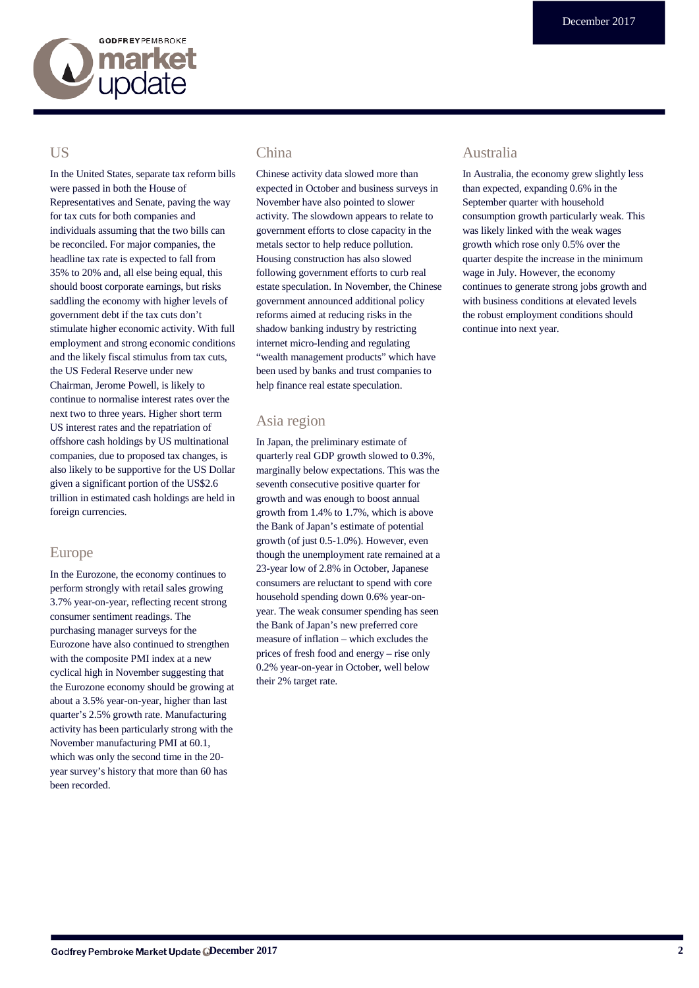

## US

In the United States, separate tax reform bills were passed in both the House of Representatives and Senate, paving the way for tax cuts for both companies and individuals assuming that the two bills can be reconciled. For major companies, the headline tax rate is expected to fall from 35% to 20% and, all else being equal, this should boost corporate earnings, but risks saddling the economy with higher levels of government debt if the tax cuts don't stimulate higher economic activity. With full employment and strong economic conditions and the likely fiscal stimulus from tax cuts, the US Federal Reserve under new Chairman, Jerome Powell, is likely to continue to normalise interest rates over the next two to three years. Higher short term US interest rates and the repatriation of offshore cash holdings by US multinational companies, due to proposed tax changes, is also likely to be supportive for the US Dollar given a significant portion of the US\$2.6 trillion in estimated cash holdings are held in foreign currencies.

## Europe

In the Eurozone, the economy continues to perform strongly with retail sales growing 3.7% year-on-year, reflecting recent strong consumer sentiment readings. The purchasing manager surveys for the Eurozone have also continued to strengthen with the composite PMI index at a new cyclical high in November suggesting that the Eurozone economy should be growing at about a 3.5% year-on-year, higher than last quarter's 2.5% growth rate. Manufacturing activity has been particularly strong with the November manufacturing PMI at 60.1, which was only the second time in the 20 year survey's history that more than 60 has been recorded.

## China

Chinese activity data slowed more than expected in October and business surveys in November have also pointed to slower activity. The slowdown appears to relate to government efforts to close capacity in the metals sector to help reduce pollution. Housing construction has also slowed following government efforts to curb real estate speculation. In November, the Chinese government announced additional policy reforms aimed at reducing risks in the shadow banking industry by restricting internet micro-lending and regulating "wealth management products" which have been used by banks and trust companies to help finance real estate speculation.

## Asia region

In Japan, the preliminary estimate of quarterly real GDP growth slowed to 0.3%, marginally below expectations. This was the seventh consecutive positive quarter for growth and was enough to boost annual growth from 1.4% to 1.7%, which is above the Bank of Japan's estimate of potential growth (of just 0.5-1.0%). However, even though the unemployment rate remained at a 23-year low of 2.8% in October, Japanese consumers are reluctant to spend with core household spending down 0.6% year-onyear. The weak consumer spending has seen the Bank of Japan's new preferred core measure of inflation – which excludes the prices of fresh food and energy – rise only 0.2% year-on-year in October, well below their 2% target rate.

## Australia

In Australia, the economy grew slightly less than expected, expanding 0.6% in the September quarter with household consumption growth particularly weak. This was likely linked with the weak wages growth which rose only 0.5% over the quarter despite the increase in the minimum wage in July. However, the economy continues to generate strong jobs growth and with business conditions at elevated levels the robust employment conditions should continue into next year.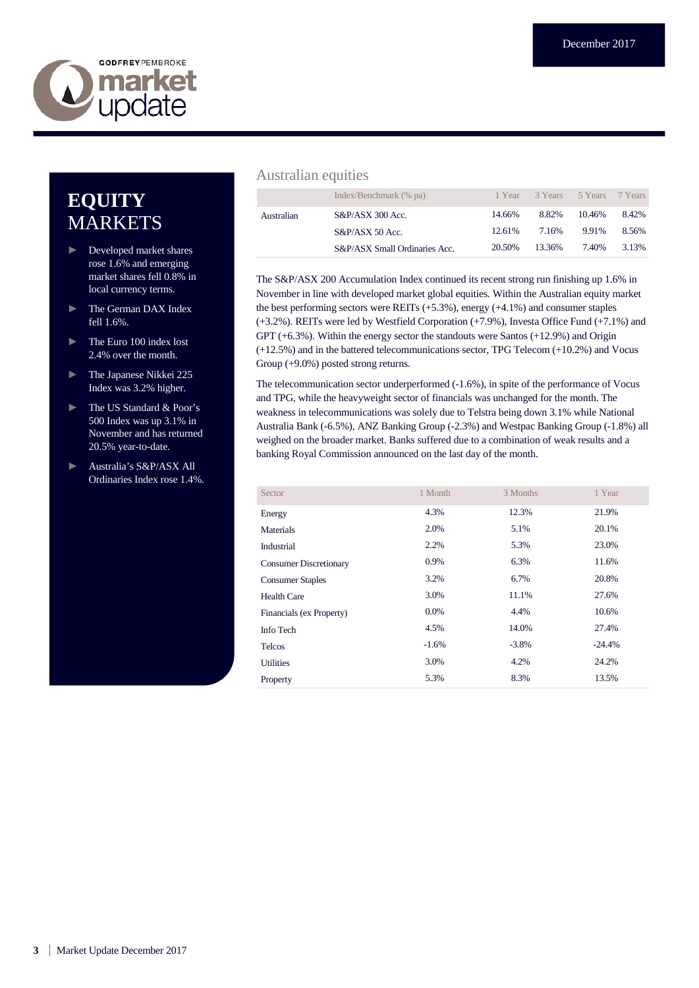

# **EQUITY** MARKETS

- ► Developed market shares rose 1.6% and emerging market shares fell 0.8% in local currency terms.
- ► The German DAX Index fell 1.6%.
- ► The Euro 100 index lost 2.4% over the month.
- ► The Japanese Nikkei 225 Index was 3.2% higher.
- ► The US Standard & Poor's 500 Index was up 3.1% in November and has returned 20.5% year-to-date.
- ► Australia's S&P/ASX All Ordinaries Index rose 1.4%.

## Australian equities

|            | Index/Benchmark (% pa)        |        | 1 Year 3 Years 5 Years 7 Years |        |       |
|------------|-------------------------------|--------|--------------------------------|--------|-------|
| Australian | $S\&P/ASX$ 300 Acc.           | 14.66% | 8.82%                          | 10.46% | 8.42% |
|            | $S&P/ASX$ 50 Acc.             | 12.61% | 7.16%                          | 9.91%  | 8.56% |
|            | S&P/ASX Small Ordinaries Acc. | 20.50% | 13.36%                         | 7.40%  | 3.13% |

The S&P/ASX 200 Accumulation Index continued its recent strong run finishing up 1.6% in November in line with developed market global equities. Within the Australian equity market the best performing sectors were REITs (+5.3%), energy (+4.1%) and consumer staples (+3.2%). REITs were led by Westfield Corporation (+7.9%), Investa Office Fund (+7.1%) and GPT (+6.3%). Within the energy sector the standouts were Santos (+12.9%) and Origin (+12.5%) and in the battered telecommunications sector, TPG Telecom (+10.2%) and Vocus Group (+9.0%) posted strong returns.

The telecommunication sector underperformed (-1.6%), in spite of the performance of Vocus and TPG, while the heavyweight sector of financials was unchanged for the month. The weakness in telecommunications was solely due to Telstra being down 3.1% while National Australia Bank (-6.5%), ANZ Banking Group (-2.3%) and Westpac Banking Group (-1.8%) all weighed on the broader market. Banks suffered due to a combination of weak results and a banking Royal Commission announced on the last day of the month.

| Sector                        | 1 Month | 3 Months | 1 Year   |
|-------------------------------|---------|----------|----------|
| Energy                        | 4.3%    | 12.3%    | 21.9%    |
| <b>Materials</b>              | 2.0%    | 5.1%     | 20.1%    |
| Industrial                    | 2.2%    | 5.3%     | 23.0%    |
| <b>Consumer Discretionary</b> | 0.9%    | 6.3%     | 11.6%    |
| <b>Consumer Staples</b>       | 3.2%    | 6.7%     | 20.8%    |
| <b>Health Care</b>            | 3.0%    | 11.1%    | 27.6%    |
| Financials (ex Property)      | $0.0\%$ | 4.4%     | 10.6%    |
| Info Tech                     | 4.5%    | 14.0%    | 27.4%    |
| <b>Telcos</b>                 | $-1.6%$ | $-3.8\%$ | $-24.4%$ |
| <b>Utilities</b>              | 3.0%    | 4.2%     | 24.2%    |
| Property                      | 5.3%    | 8.3%     | 13.5%    |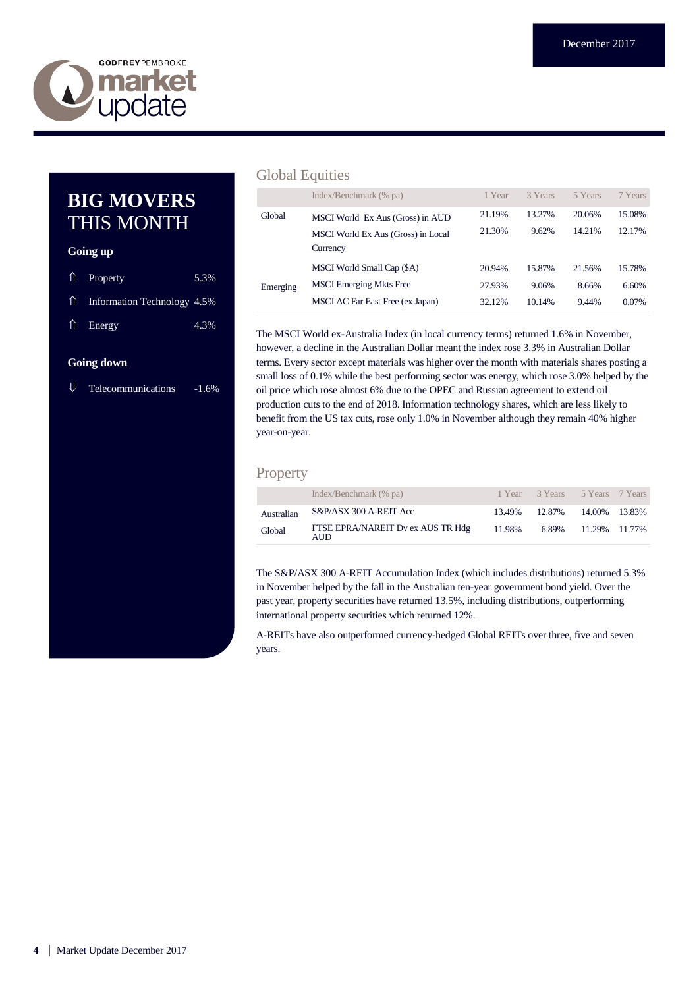

## **BIG MOVERS** THIS MONTH

### **Going up**

| $\hat{\parallel}$ Property     | 5.3% |
|--------------------------------|------|
| 11 Information Technology 4.5% |      |
| $\hat{\mathbb{I}}$ Energy      | 4.3% |

#### **Going down**

 $\downarrow$  Telecommunications -1.6%

## Global Equities

|          | Index/Benchmark (% pa)             | 1 Year | 3 Years | 5 Years | 7 Years |
|----------|------------------------------------|--------|---------|---------|---------|
| Global   | MSCI World Ex Aus (Gross) in AUD   | 21.19% | 13.27%  | 20.06%  | 15.08%  |
|          | MSCI World Ex Aus (Gross) in Local | 21.30% | 9.62%   | 14.21%  | 12.17%  |
|          | Currency                           |        |         |         |         |
|          | MSCI World Small Cap (\$A)         | 20.94% | 15.87%  | 21.56%  | 15.78%  |
| Emerging | <b>MSCI</b> Emerging Mkts Free     | 27.93% | 9.06%   | 8.66%   | 6.60%   |
|          | MSCI AC Far East Free (ex Japan)   | 32.12% | 10.14%  | 9.44%   | 0.07%   |

The MSCI World ex-Australia Index (in local currency terms) returned 1.6% in November, however, a decline in the Australian Dollar meant the index rose 3.3% in Australian Dollar terms. Every sector except materials was higher over the month with materials shares posting a small loss of 0.1% while the best performing sector was energy, which rose 3.0% helped by the oil price which rose almost 6% due to the OPEC and Russian agreement to extend oil production cuts to the end of 2018. Information technology shares, which are less likely to benefit from the US tax cuts, rose only 1.0% in November although they remain 40% higher year-on-year.

## Property

|            | Index/Benchmark (% pa)                    |        | 1 Year 3 Years 5 Years 7 Years |                     |  |
|------------|-------------------------------------------|--------|--------------------------------|---------------------|--|
| Australian | S&P/ASX 300 A-REIT Acc                    | 13.49% | 12.87%                         | 14.00% 13.83%       |  |
| Global     | FTSE EPRA/NAREIT Dv ex AUS TR Hdg<br>AUD. | 11.98% |                                | 6.89% 11.29% 11.77% |  |

The S&P/ASX 300 A-REIT Accumulation Index (which includes distributions) returned 5.3% in November helped by the fall in the Australian ten-year government bond yield. Over the past year, property securities have returned 13.5%, including distributions, outperforming international property securities which returned 12%.

A-REITs have also outperformed currency-hedged Global REITs over three, five and seven years.